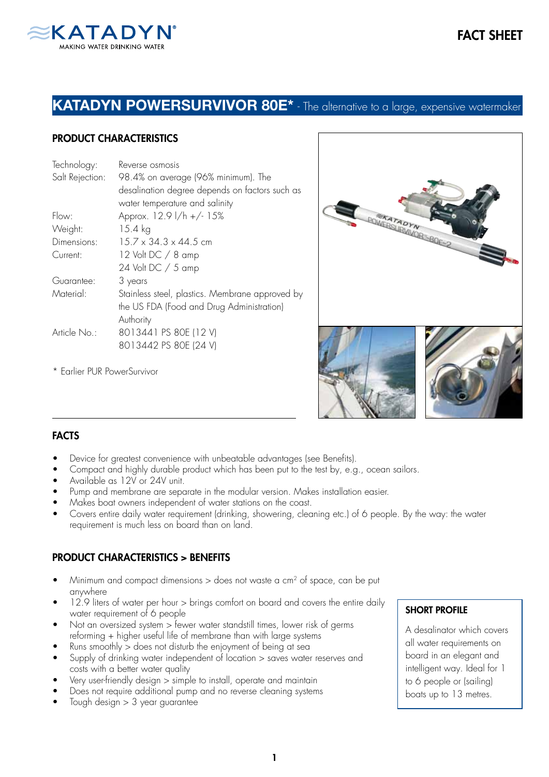

## KATADYN POWERSURVIVOR 80E\* - The alternative to a large, expensive watermaker

### PRODUCT CHARACTERISTICS

| Technology:     | Reverse osmosis                                 |
|-----------------|-------------------------------------------------|
| Salt Rejection: | 98.4% on average (96% minimum). The             |
|                 | desalination degree depends on factors such as  |
|                 | water temperature and salinity                  |
| Flow:           | Approx. 12.9 l/h +/- 15%                        |
| Weight:         | 15.4 kg                                         |
| Dimensions:     | $15.7 \times 34.3 \times 44.5$ cm               |
| Current:        | 12 Volt DC / 8 amp                              |
|                 | 24 Volt DC / 5 amp                              |
| Guarantee:      | 3 years                                         |
| Material:       | Stainless steel, plastics. Membrane approved by |
|                 | the US FDA (Food and Drug Administration)       |
|                 | Authority                                       |
| Article No.:    | 8013441 PS 80E (12 V)                           |
|                 | 8013442 PS 80E (24 V)                           |
|                 |                                                 |

\* Earlier PUR PowerSurvivor



### **FACTS**

- Device for greatest convenience with unbeatable advantages (see Benefits).
- Compact and highly durable product which has been put to the test by, e.g., ocean sailors.
- Available as 12V or 24V unit.
- Pump and membrane are separate in the modular version. Makes installation easier.
- Makes boat owners independent of water stations on the coast.
- Covers entire daily water requirement (drinking, showering, cleaning etc.) of 6 people. By the way: the water requirement is much less on board than on land.

### PRODUCT CHARACTERISTICS > BENEFITS

- Minimum and compact dimensions  $>$  does not waste a cm<sup>2</sup> of space, can be put anywhere
- 12.9 liters of water per hour > brings comfort on board and covers the entire daily water requirement of 6 people
- Not an oversized system > fewer water standstill times, lower risk of germs reforming + higher useful life of membrane than with large systems
- Runs smoothly > does not disturb the enjoyment of being at sea
- Supply of drinking water independent of location > saves water reserves and costs with a better water quality
- Very user-friendly design > simple to install, operate and maintain
- Does not require additional pump and no reverse cleaning systems
- Tough design > 3 year guarantee

#### SHORT PROFILE

A desalinator which covers all water requirements on board in an elegant and intelligent way. Ideal for 1 to 6 people or (sailing) boats up to 13 metres.